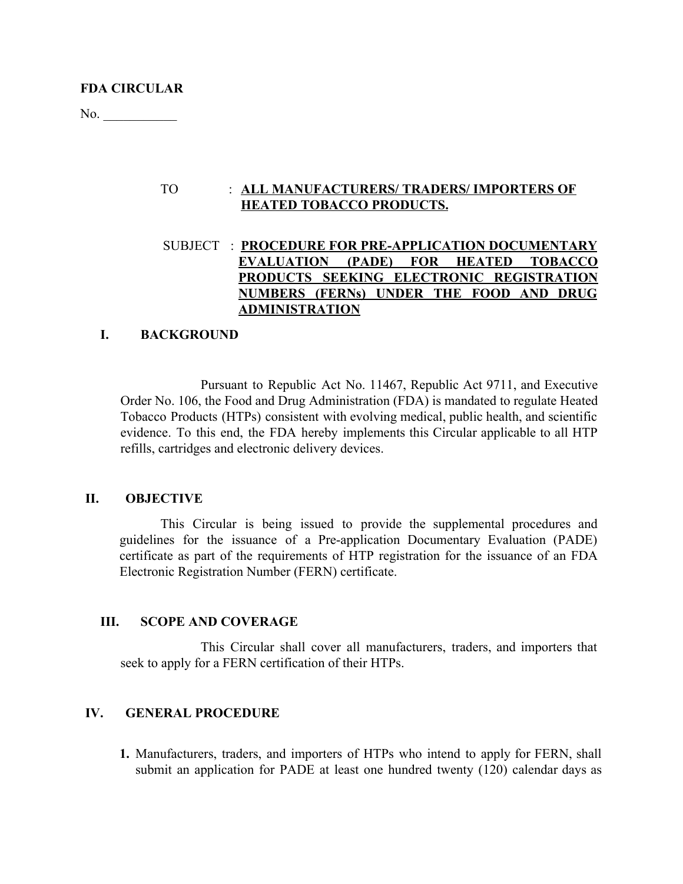No. \_\_\_\_\_\_\_\_\_\_\_

# TO : **ALL MANUFACTURERS/ TRADERS/ IMPORTERS OF HEATED TOBACCO PRODUCTS.**

# SUBJECT : **PROCEDURE FOR PRE-APPLICATION DOCUMENTARY EVALUATION (PADE) FOR HEATED TOBACCO PRODUCTS SEEKING ELECTRONIC REGISTRATION NUMBERS (FERNs) UNDER THE FOOD AND DRUG ADMINISTRATION**

# **I. BACKGROUND**

Pursuant to Republic Act No. 11467, Republic Act 9711, and Executive Order No. 106, the Food and Drug Administration (FDA) is mandated to regulate Heated Tobacco Products (HTPs) consistent with evolving medical, public health, and scientific evidence. To this end, the FDA hereby implements this Circular applicable to all HTP refills, cartridges and electronic delivery devices.

# **II. OBJECTIVE**

This Circular is being issued to provide the supplemental procedures and guidelines for the issuance of a Pre-application Documentary Evaluation (PADE) certificate as part of the requirements of HTP registration for the issuance of an FDA Electronic Registration Number (FERN) certificate.

# **III. SCOPE AND COVERAGE**

This Circular shall cover all manufacturers, traders, and importers that seek to apply for a FERN certification of their HTPs.

# **IV. GENERAL PROCEDURE**

**1.** Manufacturers, traders, and importers of HTPs who intend to apply for FERN, shall submit an application for PADE at least one hundred twenty (120) calendar days as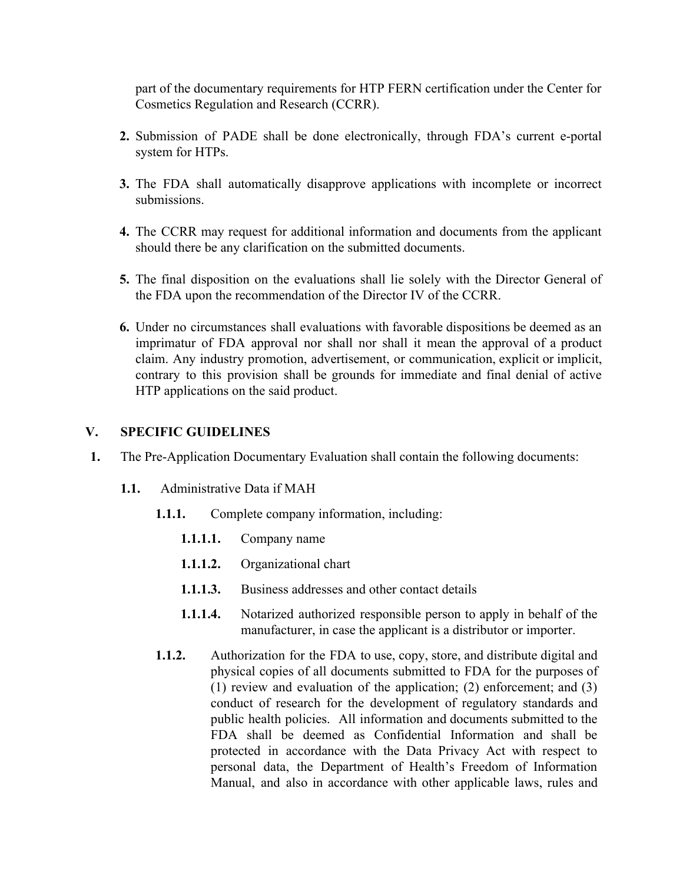part of the documentary requirements for HTP FERN certification under the Center for Cosmetics Regulation and Research (CCRR).

- **2.** Submission of PADE shall be done electronically, through FDA's current e-portal system for HTPs.
- **3.** The FDA shall automatically disapprove applications with incomplete or incorrect submissions.
- **4.** The CCRR may request for additional information and documents from the applicant should there be any clarification on the submitted documents.
- **5.** The final disposition on the evaluations shall lie solely with the Director General of the FDA upon the recommendation of the Director IV of the CCRR.
- **6.** Under no circumstances shall evaluations with favorable dispositions be deemed as an imprimatur of FDA approval nor shall nor shall it mean the approval of a product claim. Any industry promotion, advertisement, or communication, explicit or implicit, contrary to this provision shall be grounds for immediate and final denial of active HTP applications on the said product.

## **V. SPECIFIC GUIDELINES**

- **1.** The Pre-Application Documentary Evaluation shall contain the following documents:
	- **1.1.** Administrative Data if MAH
		- **1.1.1.** Complete company information, including:
			- **1.1.1.1.** Company name
			- **1.1.1.2.** Organizational chart
			- **1.1.1.3.** Business addresses and other contact details
			- **1.1.1.4.** Notarized authorized responsible person to apply in behalf of the manufacturer, in case the applicant is a distributor or importer.
		- **1.1.2.** Authorization for the FDA to use, copy, store, and distribute digital and physical copies of all documents submitted to FDA for the purposes of (1) review and evaluation of the application; (2) enforcement; and (3) conduct of research for the development of regulatory standards and public health policies. All information and documents submitted to the FDA shall be deemed as Confidential Information and shall be protected in accordance with the Data Privacy Act with respect to personal data, the Department of Health's Freedom of Information Manual, and also in accordance with other applicable laws, rules and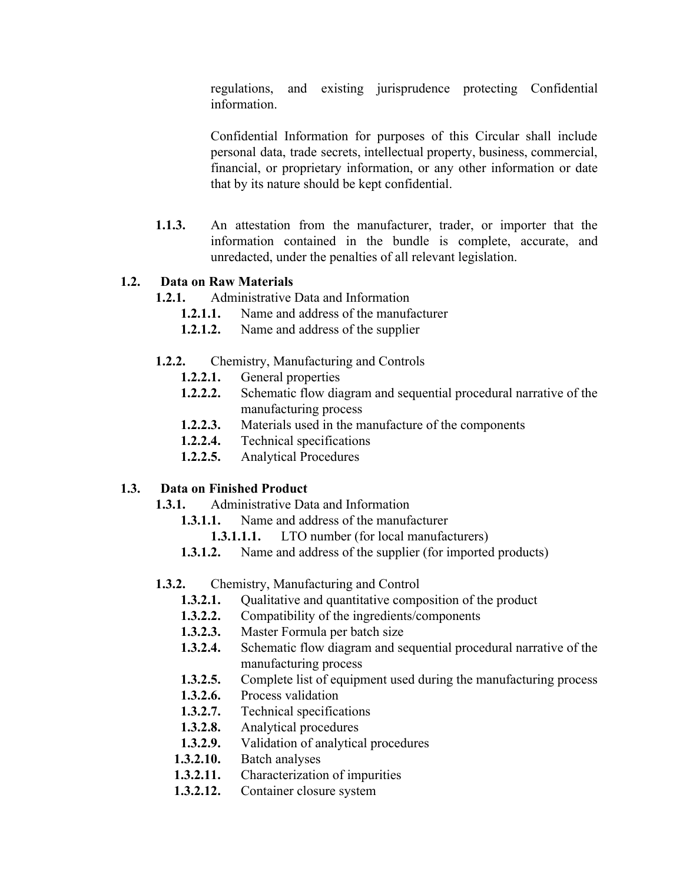regulations, and existing jurisprudence protecting Confidential information.

Confidential Information for purposes of this Circular shall include personal data, trade secrets, intellectual property, business, commercial, financial, or proprietary information, or any other information or date that by its nature should be kept confidential.

**1.1.3.** An attestation from the manufacturer, trader, or importer that the information contained in the bundle is complete, accurate, and unredacted, under the penalties of all relevant legislation.

# **1.2. Data on Raw Materials**

- **1.2.1.** Administrative Data and Information
	- **1.2.1.1.** Name and address of the manufacturer
	- **1.2.1.2.** Name and address of the supplier
- **1.2.2.** Chemistry, Manufacturing and Controls
	- **1.2.2.1.** General properties
	- **1.2.2.2.** Schematic flow diagram and sequential procedural narrative of the manufacturing process
	- **1.2.2.3.** Materials used in the manufacture of the components
	- **1.2.2.4.** Technical specifications
	- **1.2.2.5.** Analytical Procedures

# **1.3. Data on Finished Product**

- **1.3.1.** Administrative Data and Information
	- **1.3.1.1.** Name and address of the manufacturer
		- **1.3.1.1.1.** LTO number (for local manufacturers)
	- **1.3.1.2.** Name and address of the supplier (for imported products)
- **1.3.2.** Chemistry, Manufacturing and Control
	- **1.3.2.1.** Qualitative and quantitative composition of the product
	- **1.3.2.2.** Compatibility of the ingredients/components
	- **1.3.2.3.** Master Formula per batch size
	- **1.3.2.4.** Schematic flow diagram and sequential procedural narrative of the manufacturing process
	- **1.3.2.5.** Complete list of equipment used during the manufacturing process
	- **1.3.2.6.** Process validation
	- **1.3.2.7.** Technical specifications
	- **1.3.2.8.** Analytical procedures
	- **1.3.2.9.** Validation of analytical procedures
	- **1.3.2.10.** Batch analyses
	- **1.3.2.11.** Characterization of impurities
	- **1.3.2.12.** Container closure system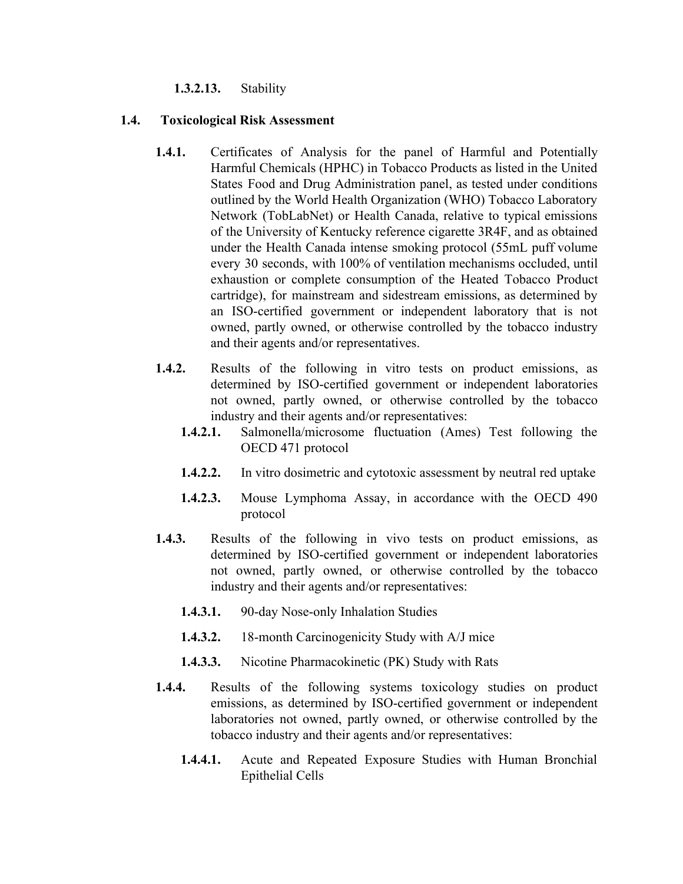# **1.3.2.13.** Stability

# **1.4. Toxicological Risk Assessment**

- **1.4.1.** Certificates of Analysis for the panel of Harmful and Potentially Harmful Chemicals (HPHC) in Tobacco Products as listed in the United States Food and Drug Administration panel, as tested under conditions outlined by the World Health Organization (WHO) Tobacco Laboratory Network (TobLabNet) or Health Canada, relative to typical emissions of the University of Kentucky reference cigarette 3R4F, and as obtained under the Health Canada intense smoking protocol (55mL puff volume every 30 seconds, with 100% of ventilation mechanisms occluded, until exhaustion or complete consumption of the Heated Tobacco Product cartridge), for mainstream and sidestream emissions, as determined by an ISO-certified government or independent laboratory that is not owned, partly owned, or otherwise controlled by the tobacco industry and their agents and/or representatives.
- **1.4.2.** Results of the following in vitro tests on product emissions, as determined by ISO-certified government or independent laboratories not owned, partly owned, or otherwise controlled by the tobacco industry and their agents and/or representatives:
	- **1.4.2.1.** Salmonella/microsome fluctuation (Ames) Test following the OECD 471 protocol
	- **1.4.2.2.** In vitro dosimetric and cytotoxic assessment by neutral red uptake
	- **1.4.2.3.** Mouse Lymphoma Assay, in accordance with the OECD 490 protocol
- **1.4.3.** Results of the following in vivo tests on product emissions, as determined by ISO-certified government or independent laboratories not owned, partly owned, or otherwise controlled by the tobacco industry and their agents and/or representatives:
	- **1.4.3.1.** 90-day Nose-only Inhalation Studies
	- **1.4.3.2.** 18-month Carcinogenicity Study with A/J mice
	- **1.4.3.3.** Nicotine Pharmacokinetic (PK) Study with Rats
- **1.4.4.** Results of the following systems toxicology studies on product emissions, as determined by ISO-certified government or independent laboratories not owned, partly owned, or otherwise controlled by the tobacco industry and their agents and/or representatives:
	- **1.4.4.1.** Acute and Repeated Exposure Studies with Human Bronchial Epithelial Cells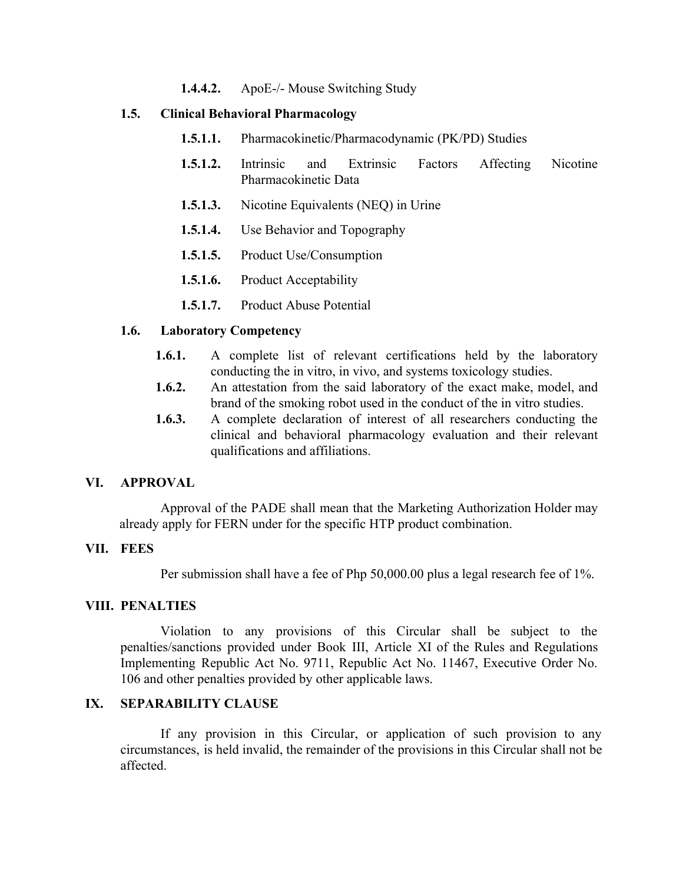**1.4.4.2.** ApoE-/- Mouse Switching Study

# **1.5. Clinical Behavioral Pharmacology**

- **1.5.1.1.** Pharmacokinetic/Pharmacodynamic (PK/PD) Studies
- **1.5.1.2.** Intrinsic and Extrinsic Factors Affecting Nicotine Pharmacokinetic Data
- **1.5.1.3.** Nicotine Equivalents (NEQ) in Urine
- **1.5.1.4.** Use Behavior and Topography
- **1.5.1.5.** Product Use/Consumption
- **1.5.1.6.** Product Acceptability
- **1.5.1.7.** Product Abuse Potential

#### **1.6. Laboratory Competency**

- **1.6.1.** A complete list of relevant certifications held by the laboratory conducting the in vitro, in vivo, and systems toxicology studies.
- **1.6.2.** An attestation from the said laboratory of the exact make, model, and brand of the smoking robot used in the conduct of the in vitro studies.
- **1.6.3.** A complete declaration of interest of all researchers conducting the clinical and behavioral pharmacology evaluation and their relevant qualifications and affiliations.

#### **VI. APPROVAL**

Approval of the PADE shall mean that the Marketing Authorization Holder may already apply for FERN under for the specific HTP product combination.

# **VII. FEES**

Per submission shall have a fee of Php 50,000.00 plus a legal research fee of 1%.

#### **VIII. PENALTIES**

Violation to any provisions of this Circular shall be subject to the penalties/sanctions provided under Book III, Article XI of the Rules and Regulations Implementing Republic Act No. 9711, Republic Act No. 11467, Executive Order No. 106 and other penalties provided by other applicable laws.

# **IX. SEPARABILITY CLAUSE**

If any provision in this Circular, or application of such provision to any circumstances, is held invalid, the remainder of the provisions in this Circular shall not be affected.